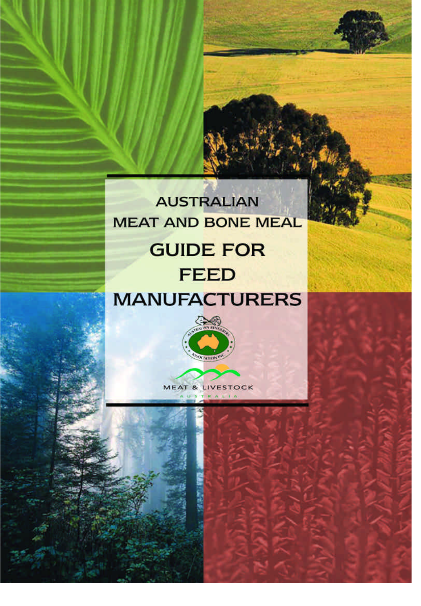# **AUSTRALIAN MEAT AND BONE MEAL GUIDE FOR FEED MANUFACTURERS**



**MEAT & LIVESTOCK** USTRALIA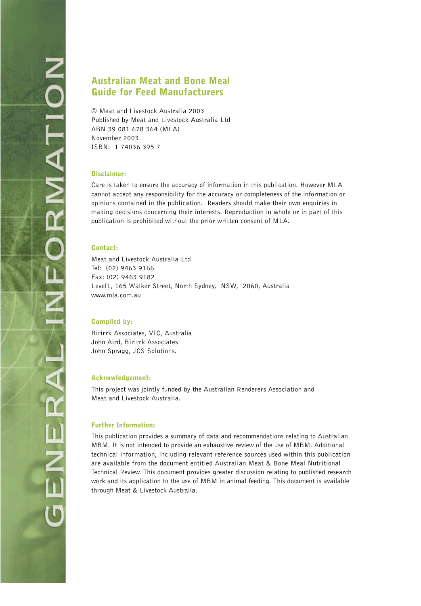#### Australian Meat and Bone Meal Guide for Feed Manufacturers

© Meat and Livestock Australia 2003 Published by Meat and Livestock Australia Ltd ABN 39 081 678 364 (MLA) November 2003 ISBN: 1 74036 395 7

#### Disclaimer:

Care is taken to ensure the accuracy of information in this publication. However MLA cannot accept any responsibility for the accuracy or completeness of the information or opinions contained in the publication. Readers should make their own enquiries in making decisions concerning their interests. Reproduction in whole or in part of this publication is prohibited without the prior written consent of MLA.

#### Contact:

Meat and Livestock Australia Ltd Tel: (02) 9463 9166 Fax: (02) 9463 9182 Level1, 165 Walker Street, North Sydney, NSW, 2060, Australia www.mla.com.au

#### Compiled by:

Birirrk Associates, VIC, Australia John Aird, Birirrk Associates John Spragg, JCS Solutions.

#### Acknowledgement:

This project was jointly funded by the Australian Renderers Association and Meat and Livestock Australia.

#### Further Information:

This publication provides a summary of data and recommendations relating to Australian MBM. It is not intended to provide an exhaustive review of the use of MBM. Additional technical information, including relevant reference sources used within this publication are available from the document entitled Australian Meat & Bone Meal Nutritional Technical Review. This document provides greater discussion relating to published research work and its application to the use of MBM in animal feeding. This document is available through Meat & Livestock Australia.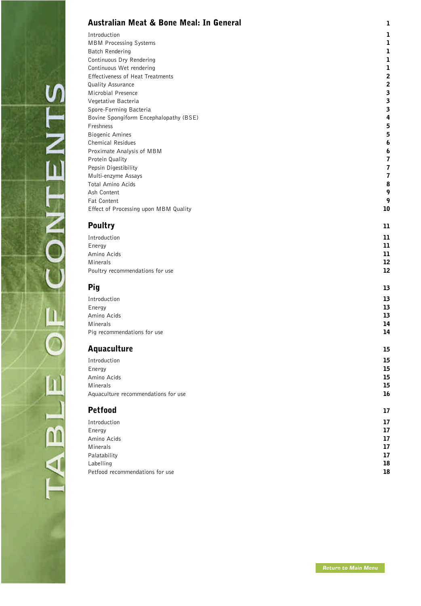#### <span id="page-2-0"></span>[Australian Meat & Bone Meal: In General](#page-3-0) 1

Introduction **1** MBM Processing Systems **1** Batch Rendering 2002 1 and 2003 1 and 2003 1 and 2004 1 and 2004 2 and 2004 2 and 2004 2 and 2004 2 and 2004 2  $\sim$  1 Continuous Dry Rendering 2008 12 and 2008 12 and 2008 12 and 2008 12 and 2008 12 and 2008 12 and 2008 12 and 2008 12 and 2008 12 and 2008 12 and 2008 12 and 2008 12 and 2008 12 and 2008 12 and 2008 12 and 2008 12 and 2008 Continuous Wet rendering 2002 12 and 2008 12 and 2008 12 and 2008 12 and 2008 12 and 2008 12 and 2008 12 and 2008 12 and 2008 12 and 2008 12 and 2008 12 and 2008 12 and 2008 12 and 2008 12 and 2008 12 and 2008 12 and 2008 Effectiveness of Heat Treatments 2 **Quality Assurance** 2 **2** Microbial Presence<br>
1992 - Constantino Bacteria<br>
2008 - September 2008 - September 2008 - September 2008 - September 2008 - September 2008 - September 2008 -Vegetative Bacteria Spore-Forming Bacteria 3 Bovine Spongiform Encephalopathy (BSE) **4**<br>
Freshness **5** Freshness 5 Biogenic Amines **5** Chemical Residues 6 Proximate Analysis of MBM<br>Protein Quality **6** Protein Quality 7 Pepsin Digestibility **7** Multi-enzyme Assays 7 Total Amino Acids **8** Ash Content 9 Fat Content **9** Effect of Processing upon MBM Quality 10 and the state of the state of the state 10 and 10

| <b>Poultry</b>                  | 11 |
|---------------------------------|----|
| Introduction                    | 11 |
| Energy                          | 11 |
| Amino Acids                     | 11 |
| Minerals                        | 12 |
| Poultry recommendations for use | 12 |

| Pig                         | 13 |
|-----------------------------|----|
| Introduction                | 13 |
| Energy                      | 13 |
| Amino Acids                 | 13 |
| Minerals                    | 14 |
| Pig recommendations for use | 14 |

#### [Aquaculture](#page-17-0) 15

| 15 |
|----|
| 15 |
| 15 |
| 15 |
| 16 |
|    |
|    |

#### [Petfood](#page-19-0) and the contract of the contract of the contract of the contract of the contract of the contract of the contract of the contract of the contract of the contract of the contract of the contract of the contract of th

 $\tilde{\mathbf{u}}$ 

 $\overline{\mathcal{A}}$ 

| Introduction                    | 17 |
|---------------------------------|----|
| Energy                          | 17 |
| Amino Acids                     | 17 |
| Minerals                        | 17 |
| Palatability                    | 17 |
| Labelling                       | 18 |
| Petfood recommendations for use | 18 |
|                                 |    |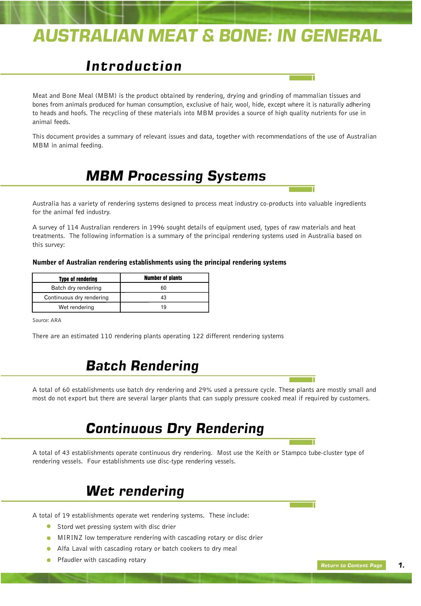# <span id="page-3-0"></span>*AUSTRALIAN MEAT & BONE: IN GENERAL*

### *Introduction*

Meat and Bone Meal (MBM) is the product obtained by rendering, drying and grinding of mammalian tissues and bones from animals produced for human consumption, exclusive of hair, wool, hide, except where it is naturally adhering to heads and hoofs. The recycling of these materials into MBM provides a source of high quality nutrients for use in animal feeds.

This document provides a summary of relevant issues and data, together with recommendations of the use of Australian MBM in animal feeding.

### *MBM Processing Systems*

Australia has a variety of rendering systems designed to process meat industry co-products into valuable ingredients for the animal fed industry.

A survey of 114 Australian renderers in 1996 sought details of equipment used, types of raw materials and heat treatments. The following information is a summary of the principal rendering systems used in Australia based on this survey:

#### Number of Australian rendering establishments using the principal rendering systems

| <b>Type of rendering</b> | <b>Number of plants</b> |
|--------------------------|-------------------------|
| Batch dry rendering      |                         |
| Continuous dry rendering |                         |
| Wet rendering            | 1 Q                     |

Source: ARA

There are an estimated 110 rendering plants operating 122 different rendering systems

#### *Batch Rendering*

A total of 60 establishments use batch dry rendering and 29% used a pressure cycle. These plants are mostly small and most do not export but there are several larger plants that can supply pressure cooked meal if required by customers.

### *Continuous Dry Rendering*

A total of 43 establishments operate continuous dry rendering. Most use the Keith or Stampco tube-cluster type of rendering vessels. Four establishments use disc-type rendering vessels.

#### *Wet rendering*

A total of 19 establishments operate wet rendering systems. These include:

- Stord wet pressing system with disc drier
- MIRINZ low temperature rendering with cascading rotary or disc drier
- Alfa Laval with cascading rotary or batch cookers to dry meal
- Pfaudler with cascading rotary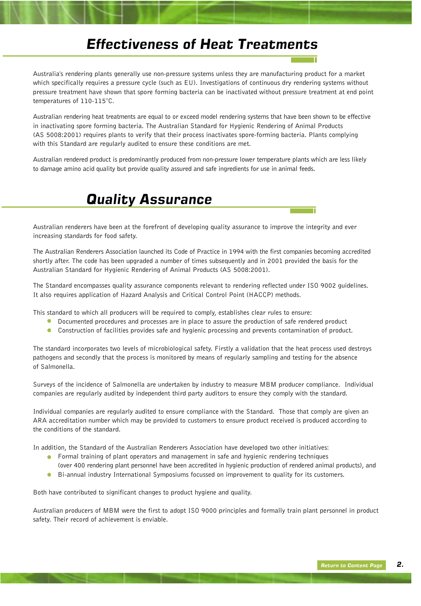### *Effectiveness of Heat Treatments*

Australia's rendering plants generally use non-pressure systems unless they are manufacturing product for a market which specifically requires a pressure cycle (such as EU). Investigations of continuous dry rendering systems without pressure treatment have shown that spore forming bacteria can be inactivated without pressure treatment at end point temperatures of 110-115°C.

Australian rendering heat treatments are equal to or exceed model rendering systems that have been shown to be effective in inactivating spore forming bacteria. The Australian Standard for Hygienic Rendering of Animal Products (AS 5008:2001) requires plants to verify that their process inactivates spore-forming bacteria. Plants complying with this Standard are regularly audited to ensure these conditions are met.

Australian rendered product is predominantly produced from non-pressure lower temperature plants which are less likely to damage amino acid quality but provide quality assured and safe ingredients for use in animal feeds.

### *Quality Assurance*

Australian renderers have been at the forefront of developing quality assurance to improve the integrity and ever increasing standards for food safety.

The Australian Renderers Association launched its Code of Practice in 1994 with the first companies becoming accredited shortly after. The code has been upgraded a number of times subsequently and in 2001 provided the basis for the Australian Standard for Hygienic Rendering of Animal Products (AS 5008:2001).

The Standard encompasses quality assurance components relevant to rendering reflected under ISO 9002 guidelines. It also requires application of Hazard Analysis and Critical Control Point (HACCP) methods.

This standard to which all producers will be required to comply, establishes clear rules to ensure:

- $\bullet$ Documented procedures and processes are in place to assure the production of safe rendered product
- $\bullet$ Construction of facilities provides safe and hygienic processing and prevents contamination of product.

The standard incorporates two levels of microbiological safety. Firstly a validation that the heat process used destroys pathogens and secondly that the process is monitored by means of regularly sampling and testing for the absence of Salmonella.

Surveys of the incidence of Salmonella are undertaken by industry to measure MBM producer compliance. Individual companies are regularly audited by independent third party auditors to ensure they comply with the standard.

Individual companies are regularly audited to ensure compliance with the Standard. Those that comply are given an ARA accreditation number which may be provided to customers to ensure product received is produced according to the conditions of the standard.

In addition, the Standard of the Australian Renderers Association have developed two other initiatives:

- **•** Formal training of plant operators and management in safe and hygienic rendering techniques (over 400 rendering plant personnel have been accredited in hygienic production of rendered animal products), and
- **Bi-annual industry International Symposiums focussed on improvement to quality for its customers.**

Both have contributed to significant changes to product hygiene and quality.

Australian producers of MBM were the first to adopt ISO 9000 principles and formally train plant personnel in product safety. Their record of achievement is enviable.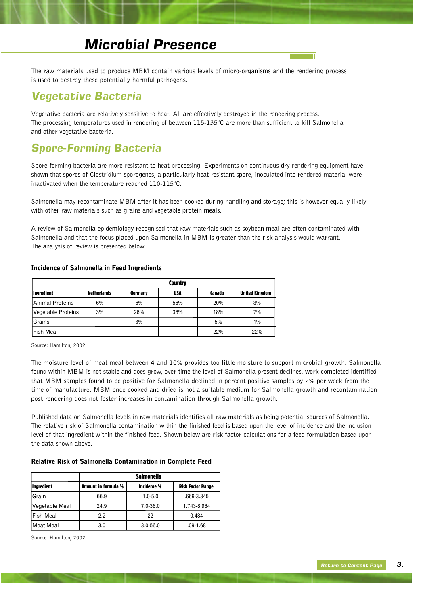### *Microbial Presence*

The raw materials used to produce MBM contain various levels of micro-organisms and the rendering process is used to destroy these potentially harmful pathogens.

#### *Vegetative Bacteria*

Vegetative bacteria are relatively sensitive to heat. All are effectively destroyed in the rendering process. The processing temperatures used in rendering of between 115-135°C are more than sufficient to kill Salmonella and other vegetative bacteria.

#### *Spore-Forming Bacteria*

Spore-forming bacteria are more resistant to heat processing. Experiments on continuous dry rendering equipment have shown that spores of Clostridium sporogenes, a particularly heat resistant spore, inoculated into rendered material were inactivated when the temperature reached 110-115°C.

Salmonella may recontaminate MBM after it has been cooked during handling and storage; this is however equally likely with other raw materials such as grains and vegetable protein meals.

A review of Salmonella epidemiology recognised that raw materials such as soybean meal are often contaminated with Salmonella and that the focus placed upon Salmonella in MBM is greater than the risk analysis would warrant. The analysis of review is presented below.

|                    | <b>Country</b>     |         |            |        |                       |
|--------------------|--------------------|---------|------------|--------|-----------------------|
| <b>Ingredient</b>  | <b>Netherlands</b> | Germany | <b>USA</b> | Canada | <b>United Kingdom</b> |
| Animal Proteins    | 6%                 | 6%      | 56%        | 20%    | 3%                    |
| Vegetable Proteins | 3%                 | 26%     | 36%        | 18%    | 7%                    |
| <b>Grains</b>      |                    | 3%      |            | 5%     | 1%                    |
| <b>Fish Meal</b>   |                    |         |            | 22%    | 22%                   |

#### Incidence of Salmonella in Feed Ingredients

Source: Hamilton, 2002

The moisture level of meat meal between 4 and 10% provides too little moisture to support microbial growth. Salmonella found within MBM is not stable and does grow, over time the level of Salmonella present declines, work completed identified that MBM samples found to be positive for Salmonella declined in percent positive samples by 2% per week from the time of manufacture. MBM once cooked and dried is not a suitable medium for Salmonella growth and recontamination post rendering does not foster increases in contamination through Salmonella growth.

Published data on Salmonella levels in raw materials identifies all raw materials as being potential sources of Salmonella. The relative risk of Salmonella contamination within the finished feed is based upon the level of incidence and the inclusion level of that ingredient within the finished feed. Shown below are risk factor calculations for a feed formulation based upon the data shown above.

#### Relative Risk of Salmonella Contamination in Complete Feed

| <i><u><b>Ingredient</b></u></i> | Amount in formula % | Incidence %  | <b>Risk Factor Range</b> |
|---------------------------------|---------------------|--------------|--------------------------|
| <b>Grain</b>                    | 66.9                | $1.0 - 5.0$  | .669-3.345               |
| Vegetable Meal                  | 24.9                | 7.0-36.0     | 1.743-8.964              |
| <b>Fish Meal</b>                | 2.2                 | 22           | 0.484                    |
| Meat Meal                       | 3.0                 | $3.0 - 56.0$ | $.09-1.68$               |

Source: Hamilton, 2002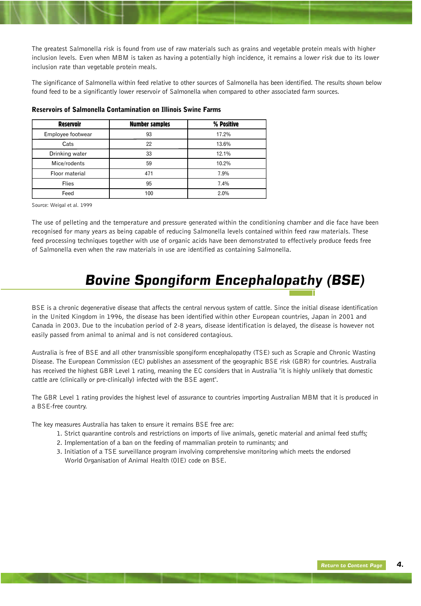The greatest Salmonella risk is found from use of raw materials such as grains and vegetable protein meals with higher inclusion levels. Even when MBM is taken as having a potentially high incidence, it remains a lower risk due to its lower inclusion rate than vegetable protein meals.

The significance of Salmonella within feed relative to other sources of Salmonella has been identified. The results shown below found feed to be a significantly lower reservoir of Salmonella when compared to other associated farm sources.

| <b>Reservoir</b>  | <b>Number samples</b> | % Positive |
|-------------------|-----------------------|------------|
| Employee footwear | 93                    | 17.2%      |
| Cats              | 22                    | 13.6%      |
| Drinking water    | 33                    | 12.1%      |
| Mice/rodents      | 59                    | 10.2%      |
| Floor material    | 471                   | 7.9%       |
| <b>Flies</b>      | 95                    | 7.4%       |
| Feed              | 100                   | 2.0%       |

#### Reservoirs of Salmonella Contamination on Illinois Swine Farms

Source: Weigal et al. 1999

The use of pelleting and the temperature and pressure generated within the conditioning chamber and die face have been recognised for many years as being capable of reducing Salmonella levels contained within feed raw materials. These feed processing techniques together with use of organic acids have been demonstrated to effectively produce feeds free of Salmonella even when the raw materials in use are identified as containing Salmonella.

# *Bovine Spongiform Encephalopathy (BSE)*

BSE is a chronic degenerative disease that affects the central nervous system of cattle. Since the initial disease identification in the United Kingdom in 1996, the disease has been identified within other European countries, Japan in 2001 and Canada in 2003. Due to the incubation period of 2-8 years, disease identification is delayed, the disease is however not easily passed from animal to animal and is not considered contagious.

Australia is free of BSE and all other transmissible spongiform encephalopathy (TSE) such as Scrapie and Chronic Wasting Disease. The European Commission (EC) publishes an assessment of the geographic BSE risk (GBR) for countries. Australia has received the highest GBR Level 1 rating, meaning the EC considers that in Australia "it is highly unlikely that domestic cattle are (clinically or pre-clinically) infected with the BSE agent".

The GBR Level 1 rating provides the highest level of assurance to countries importing Australian MBM that it is produced in a BSE-free country.

The key measures Australia has taken to ensure it remains BSE free are:

- 1. Strict quarantine controls and restrictions on imports of live animals, genetic material and animal feed stuffs;
- 2. Implementation of a ban on the feeding of mammalian protein to ruminants; and
- 3. Initiation of a TSE surveillance program involving comprehensive monitoring which meets the endorsed World Organisation of Animal Health (OIE) code on BSE.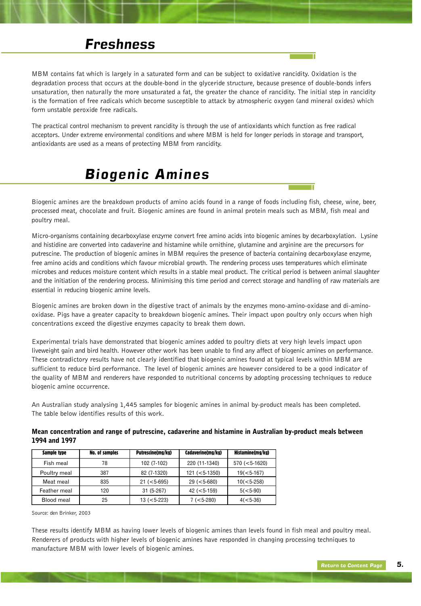#### *Freshness*

MBM contains fat which is largely in a saturated form and can be subject to oxidative rancidity. Oxidation is the degradation process that occurs at the double-bond in the glyceride structure, because presence of double-bonds infers unsaturation, then naturally the more unsaturated a fat, the greater the chance of rancidity. The initial step in rancidity is the formation of free radicals which become susceptible to attack by atmospheric oxygen (and mineral oxides) which form unstable peroxide free radicals.

The practical control mechanism to prevent rancidity is through the use of antioxidants which function as free radical acceptors. Under extreme environmental conditions and where MBM is held for longer periods in storage and transport, antioxidants are used as a means of protecting MBM from rancidity.

### *Biogenic Amines*

Biogenic amines are the breakdown products of amino acids found in a range of foods including fish, cheese, wine, beer, processed meat, chocolate and fruit. Biogenic amines are found in animal protein meals such as MBM, fish meal and poultry meal.

Micro-organisms containing decarboxylase enzyme convert free amino acids into biogenic amines by decarboxylation. Lysine and histidine are converted into cadaverine and histamine while ornithine, glutamine and arginine are the precursors for putrescine. The production of biogenic amines in MBM requires the presence of bacteria containing decarboxylase enzyme, free amino acids and conditions which favour microbial growth. The rendering process uses temperatures which eliminate microbes and reduces moisture content which results in a stable meal product. The critical period is between animal slaughter and the initiation of the rendering process. Minimising this time period and correct storage and handling of raw materials are essential in reducing biogenic amine levels.

Biogenic amines are broken down in the digestive tract of animals by the enzymes mono-amino-oxidase and di-aminooxidase. Pigs have a greater capacity to breakdown biogenic amines. Their impact upon poultry only occurs when high concentrations exceed the digestive enzymes capacity to break them down.

Experimental trials have demonstrated that biogenic amines added to poultry diets at very high levels impact upon liveweight gain and bird health. However other work has been unable to find any affect of biogenic amines on performance. These contradictory results have not clearly identified that biogenic amines found at typical levels within MBM are sufficient to reduce bird performance. The level of biogenic amines are however considered to be a good indicator of the quality of MBM and renderers have responded to nutritional concerns by adopting processing techniques to reduce biogenic amine occurrence.

An Australian study analysing 1,445 samples for biogenic amines in animal by-product meals has been completed. The table below identifies results of this work.

#### Mean concentration and range of putrescine, cadaverine and histamine in Australian by-product meals between 1994 and 1997

| Sample type  | <b>No. of samples</b> | Putrescine(mg/kg) | Cadaverine(mg/kg) | Histamine(mg/kg) |
|--------------|-----------------------|-------------------|-------------------|------------------|
| Fish meal    | 78                    | 102 (7-102)       | 220 (11-1340)     | $570 (< 5-1620)$ |
| Poultry meal | 387                   | 82 (7-1320)       | $121 (< 5-1350)$  | $19 (< 5-167)$   |
| Meat meal    | 835                   | $21 (< 5 - 695)$  | $29 (< 5 - 680)$  | $10 (< 5-258)$   |
| Feather meal | 120                   | $31(5-267)$       | $42 (< 5-159)$    | $5(<5-90)$       |
| Blood meal   | 25                    | $13 (-5-223)$     | $7 (< 5-280)$     | $4(5-36)$        |

Source: den Brinker, 2003

These results identify MBM as having lower levels of biogenic amines than levels found in fish meal and poultry meal. Renderers of products with higher levels of biogenic amines have responded in changing processing techniques to manufacture MBM with lower levels of biogenic amines.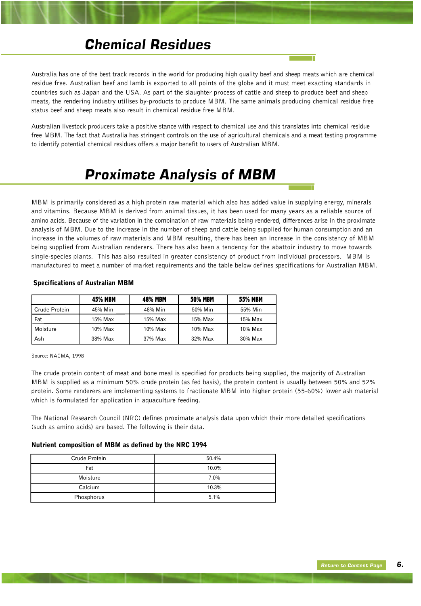### *Chemical Residues*

Australia has one of the best track records in the world for producing high quality beef and sheep meats which are chemical residue free. Australian beef and lamb is exported to all points of the globe and it must meet exacting standards in countries such as Japan and the USA. As part of the slaughter process of cattle and sheep to produce beef and sheep meats, the rendering industry utilises by-products to produce MBM. The same animals producing chemical residue free status beef and sheep meats also result in chemical residue free MBM.

Australian livestock producers take a positive stance with respect to chemical use and this translates into chemical residue free MBM. The fact that Australia has stringent controls on the use of agricultural chemicals and a meat testing programme to identify potential chemical residues offers a major benefit to users of Australian MBM.

### *Proximate Analysis of MBM*

MBM is primarily considered as a high protein raw material which also has added value in supplying energy, minerals and vitamins. Because MBM is derived from animal tissues, it has been used for many years as a reliable source of amino acids. Because of the variation in the combination of raw materials being rendered, differences arise in the proximate analysis of MBM. Due to the increase in the number of sheep and cattle being supplied for human consumption and an increase in the volumes of raw materials and MBM resulting, there has been an increase in the consistency of MBM being supplied from Australian renderers. There has also been a tendency for the abattoir industry to move towards single-species plants. This has also resulted in greater consistency of product from individual processors. MBM is manufactured to meet a number of market requirements and the table below defines specifications for Australian MBM.

|               | <b>45% MBM</b> | <b>48% MBM</b> | <b>50% MBM</b> | <b>55% MBM</b> |
|---------------|----------------|----------------|----------------|----------------|
| Crude Protein | 45% Min        | 48% Min        | 50% Min        | 55% Min        |
| Fat           | 15% Max        | 15% Max        | 15% Max        | 15% Max        |
| Moisture      | 10% Max        | 10% Max        | $10\%$ Max     | 10% Max        |
| Ash           | 38% Max        | 37% Max        | 32% Max        | 30% Max        |

#### Specifications of Australian MBM

Source: NACMA, 1998

The crude protein content of meat and bone meal is specified for products being supplied, the majority of Australian MBM is supplied as a minimum 50% crude protein (as fed basis), the protein content is usually between 50% and 52% protein. Some renderers are implementing systems to fractionate MBM into higher protein (55-60%) lower ash material which is formulated for application in aquaculture feeding.

The National Research Council (NRC) defines proximate analysis data upon which their more detailed specifications (such as amino acids) are based. The following is their data.

#### Nutrient composition of MBM as defined by the NRC 1994

| Crude Protein | 50.4% |
|---------------|-------|
| Fat           | 10.0% |
| Moisture      | 7.0%  |
| Calcium       | 10.3% |
| Phosphorus    | 5.1%  |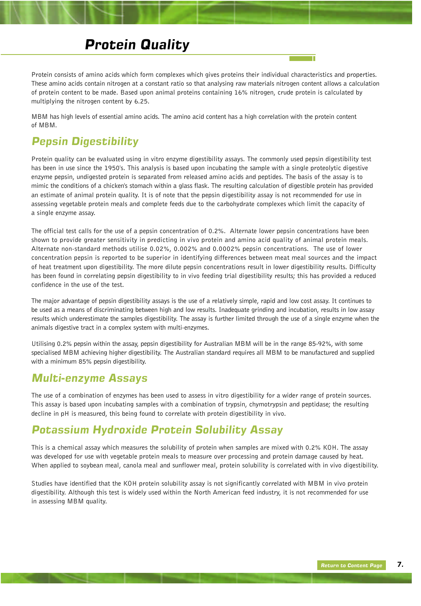### *Protein Quality*

Protein consists of amino acids which form complexes which gives proteins their individual characteristics and properties. These amino acids contain nitrogen at a constant ratio so that analysing raw materials nitrogen content allows a calculation of protein content to be made. Based upon animal proteins containing 16% nitrogen, crude protein is calculated by multiplying the nitrogen content by 6.25.

MBM has high levels of essential amino acids. The amino acid content has a high correlation with the protein content of MBM.

#### *Pepsin Digestibility*

Protein quality can be evaluated using in vitro enzyme digestibility assays. The commonly used pepsin digestibility test has been in use since the 1950's. This analysis is based upon incubating the sample with a single proteolytic digestive enzyme pepsin, undigested protein is separated from released amino acids and peptides. The basis of the assay is to mimic the conditions of a chicken's stomach within a glass flask. The resulting calculation of digestible protein has provided an estimate of animal protein quality. It is of note that the pepsin digestibility assay is not recommended for use in assessing vegetable protein meals and complete feeds due to the carbohydrate complexes which limit the capacity of a single enzyme assay.

The official test calls for the use of a pepsin concentration of 0.2%. Alternate lower pepsin concentrations have been shown to provide greater sensitivity in predicting in vivo protein and amino acid quality of animal protein meals. Alternate non-standard methods utilise 0.02%, 0.002% and 0.0002% pepsin concentrations. The use of lower concentration pepsin is reported to be superior in identifying differences between meat meal sources and the impact of heat treatment upon digestibility. The more dilute pepsin concentrations result in lower digestibility results. Difficulty has been found in correlating pepsin digestibility to in vivo feeding trial digestibility results; this has provided a reduced confidence in the use of the test.

The major advantage of pepsin digestibility assays is the use of a relatively simple, rapid and low cost assay. It continues to be used as a means of discriminating between high and low results. Inadequate grinding and incubation, results in low assay results which underestimate the samples digestibility. The assay is further limited through the use of a single enzyme when the animals digestive tract in a complex system with multi-enzymes.

Utilising 0.2% pepsin within the assay, pepsin digestibility for Australian MBM will be in the range 85-92%, with some specialised MBM achieving higher digestibility. The Australian standard requires all MBM to be manufactured and supplied with a minimum 85% pepsin digestibility.

#### *Multi-enzyme Assays*

The use of a combination of enzymes has been used to assess in vitro digestibility for a wider range of protein sources. This assay is based upon incubating samples with a combination of trypsin, chymotrypsin and peptidase; the resulting decline in pH is measured, this being found to correlate with protein digestibility in vivo.

#### *Potassium Hydroxide Protein Solubility Assay*

This is a chemical assay which measures the solubility of protein when samples are mixed with 0.2% KOH. The assay was developed for use with vegetable protein meals to measure over processing and protein damage caused by heat. When applied to soybean meal, canola meal and sunflower meal, protein solubility is correlated with in vivo digestibility.

Studies have identified that the KOH protein solubility assay is not significantly correlated with MBM in vivo protein digestibility. Although this test is widely used within the North American feed industry, it is not recommended for use in assessing MBM quality.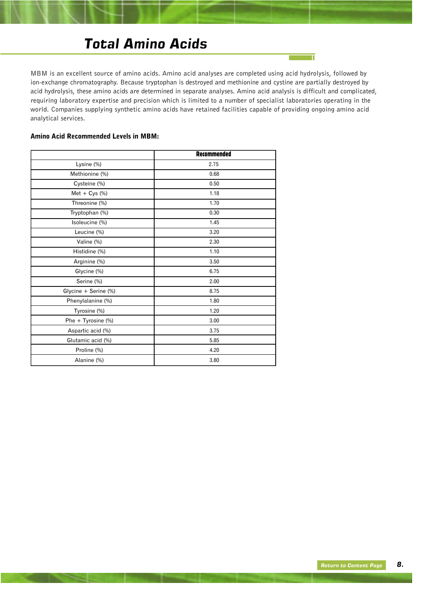### *Total Amino Acids*

MBM is an excellent source of amino acids. Amino acid analyses are completed using acid hydrolysis, followed by ion-exchange chromatography. Because tryptophan is destroyed and methionine and cystine are partially destroyed by acid hydrolysis, these amino acids are determined in separate analyses. Amino acid analysis is difficult and complicated, requiring laboratory expertise and precision which is limited to a number of specialist laboratories operating in the world. Companies supplying synthetic amino acids have retained facilities capable of providing ongoing amino acid analytical services.

 $\overline{\mathbb{T}}$ 

#### Amino Acid Recommended Levels in MBM:

|                         | <b>Recommended</b> |
|-------------------------|--------------------|
| Lysine (%)              | 2.75               |
| Methionine (%)          | 0.68               |
| Cysteine (%)            | 0.50               |
| Met + $Cys$ (%)         | 1.18               |
| Threonine (%)           | 1.70               |
| Tryptophan (%)          | 0.30               |
| Isoleucine (%)          | 1.45               |
| Leucine (%)             | 3.20               |
| Valine (%)              | 2.30               |
| Histidine (%)           | 1.10               |
| Arginine (%)            | 3.50               |
| Glycine (%)             | 6.75               |
| Serine (%)              | 2.00               |
| Glycine + Serine (%)    | 8.75               |
| Phenylalanine (%)       | 1.80               |
| Tyrosine (%)            | 1.20               |
| Phe $+$ Tyrosine $(\%)$ | 3.00               |
| Aspartic acid (%)       | 3.75               |
| Glutamic acid (%)       | 5.85               |
| Proline (%)             | 4.20               |
| Alanine (%)             | 3.80               |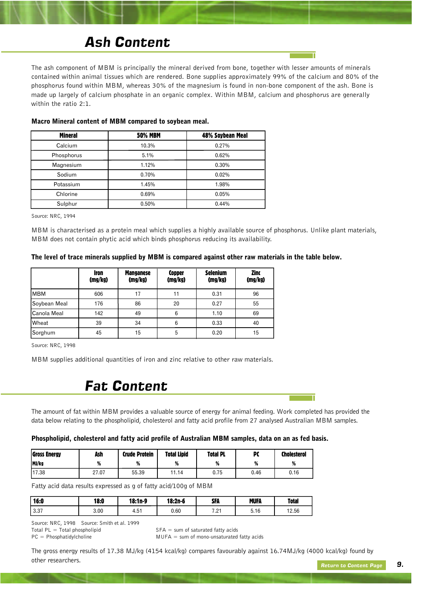### *Ash Content*

The ash component of MBM is principally the mineral derived from bone, together with lesser amounts of minerals contained within animal tissues which are rendered. Bone supplies approximately 99% of the calcium and 80% of the phosphorus found within MBM, whereas 30% of the magnesium is found in non-bone component of the ash. Bone is made up largely of calcium phosphate in an organic complex. Within MBM, calcium and phosphorus are generally within the ratio 2:1.

| <b>Mineral</b> | <b>50% MBM</b> | 48% Soybean Meal |
|----------------|----------------|------------------|
| Calcium        | 10.3%          | 0.27%            |
| Phosphorus     | 5.1%           | 0.62%            |
| Magnesium      | 1.12%          | 0.30%            |
| Sodium         | 0.70%          | 0.02%            |
| Potassium      | 1.45%          | 1.98%            |
| Chlorine       | 0.69%          | 0.05%            |
| Sulphur        | 0.50%          | 0.44%            |

#### Macro Mineral content of MBM compared to soybean meal.

Source: NRC, 1994

MBM is characterised as a protein meal which supplies a highly available source of phosphorus. Unlike plant materials, MBM does not contain phytic acid which binds phosphorus reducing its availability.

#### The level of trace minerals supplied by MBM is compared against other raw materials in the table below.

|                     | <b>Iron</b><br>(mg/kg) | <b>Manganese</b><br>(mg/kg) | <b>Copper</b><br>(mg/kg) | <b>Selenium</b><br>(mg/kg) | Zinc<br>(mg/kg) |
|---------------------|------------------------|-----------------------------|--------------------------|----------------------------|-----------------|
| <b>IMBM</b>         | 606                    | 17                          | 11                       | 0.31                       | 96              |
| Soybean Meal        | 176                    | 86                          | 20                       | 0.27                       | 55              |
| <b>C</b> anola Meal | 142                    | 49                          | 6                        | 1.10                       | 69              |
| <b>Wheat</b>        | 39                     | 34                          | 6                        | 0.33                       | 40              |
| Sorghum             | 45                     | 15                          | 5                        | 0.20                       | 15              |

Source: NRC, 1998

MBM supplies additional quantities of iron and zinc relative to other raw materials.

#### *Fat Content*

The amount of fat within MBM provides a valuable source of energy for animal feeding. Work completed has provided the data below relating to the phospholipid, cholesterol and fatty acid profile from 27 analysed Australian MBM samples.

#### Phospholipid, cholesterol and fatty acid profile of Australian MBM samples, data on an as fed basis.

| Gross Energy | Ash   | Crude Protein | <b>Total Lipid</b> | <b>Total PL</b> | PC   | <b>Cholesterol</b> |
|--------------|-------|---------------|--------------------|-----------------|------|--------------------|
| MJ/kg        | %     | %             | %                  | %               | %    | %                  |
| 117.38       | 27.07 | 55.39         | 11.14              | 0.75            | 0.46 | 0.16               |

Fatty acid data results expressed as g of fatty acid/100g of MBM

| 16:0  | 18:0 | 18:1n-9       | 18:2n-6 | <b>SFA</b>           | <b>MUFA</b> | <b>Total</b> |
|-------|------|---------------|---------|----------------------|-------------|--------------|
| .3.37 | 3.00 | . 51<br>4.5 L | 0.60    | <b>701</b><br>ا ے، ا | 5.16        | 12.56        |

Source: NRC, 1998 Source: Smith et al. 1999 Total PL = Total phospholipid  $SFA = sum$  of saturated fatty acids PC = Phosphatidylcholine MUFA = sum of mono-unsaturated fatty acids

The gross energy results of 17.38 MJ/kg (4154 kcal/kg) compares favourably against 16.74MJ/kg (4000 kcal/kg) found by other researchers.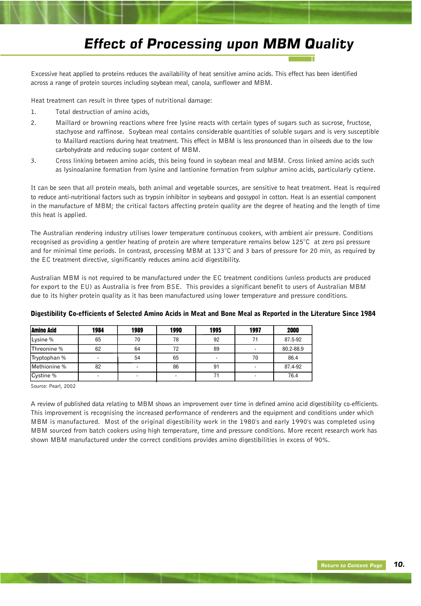### *Effect of Processing upon MBM Quality*

Excessive heat applied to proteins reduces the availability of heat sensitive amino acids. This effect has been identified across a range of protein sources including soybean meal, canola, sunflower and MBM.

Heat treatment can result in three types of nutritional damage:

- 1. Total destruction of amino acids,
- 2. Maillard or browning reactions where free lysine reacts with certain types of sugars such as sucrose, fructose, stachyose and raffinose. Soybean meal contains considerable quantities of soluble sugars and is very susceptible to Maillard reactions during heat treatment. This effect in MBM is less pronounced than in oilseeds due to the low carbohydrate and reducing sugar content of MBM.
- 3. Cross linking between amino acids, this being found in soybean meal and MBM. Cross linked amino acids such as lysinoalanine formation from lysine and lantionine formation from sulphur amino acids, particularly cytiene.

It can be seen that all protein meals, both animal and vegetable sources, are sensitive to heat treatment. Heat is required to reduce anti-nutritional factors such as trypsin inhibitor in soybeans and gossypol in cotton. Heat is an essential component in the manufacture of MBM; the critical factors affecting protein quality are the degree of heating and the length of time this heat is applied.

The Australian rendering industry utilises lower temperature continuous cookers, with ambient air pressure. Conditions recognised as providing a gentler heating of protein are where temperature remains below  $125^{\circ}$ C at zero psi pressure and for minimal time periods. In contrast, processing MBM at 133°C and 3 bars of pressure for 20 min, as required by the EC treatment directive, significantly reduces amino acid digestibility.

Australian MBM is not required to be manufactured under the EC treatment conditions (unless products are produced for export to the EU) as Australia is free from BSE. This provides a significant benefit to users of Australian MBM due to its higher protein quality as it has been manufactured using lower temperature and pressure conditions.

| <b>Amino Acid</b> | 1984 | 1989 | 1990 | 1995 | 1997 | 2000      |
|-------------------|------|------|------|------|------|-----------|
| Lysine %          | 65   | 70   | 78   | 92   |      | 87.5-92   |
| Threonine %       | 62   | 64   | 72   | 89   |      | 80.2-88.9 |
| Tryptophan %      |      | 54   | 65   | -    | 70   | 86.4      |
| Methionine %      | 82   |      | 86   | 91   |      | 87.4-92   |
| Cystine %         |      |      |      |      |      | 76.4      |

#### Digestibility Co-efficients of Selected Amino Acids in Meat and Bone Meal as Reported in the Literature Since 1984

Source: Pearl, 2002

A review of published data relating to MBM shows an improvement over time in defined amino acid digestibility co-efficients. This improvement is recognising the increased performance of renderers and the equipment and conditions under which MBM is manufactured. Most of the original digestibility work in the 1980's and early 1990's was completed using MBM sourced from batch cookers using high temperature, time and pressure conditions. More recent research work has shown MBM manufactured under the correct conditions provides amino digestibilities in excess of 90%.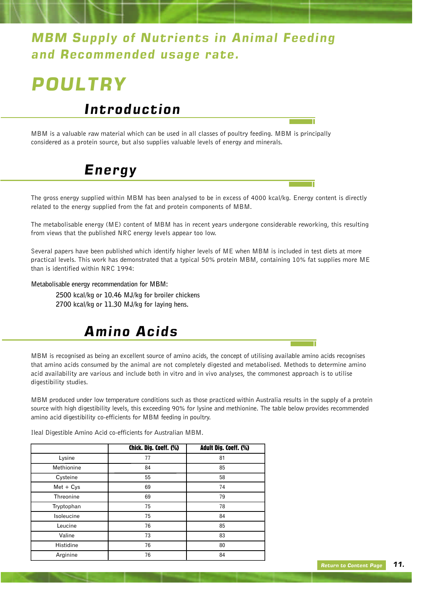### <span id="page-13-0"></span>*MBM Supply of Nutrients in Animal Feeding and Recommended usage rate.*

# *POULTRY*

### *Introduction*

MBM is a valuable raw material which can be used in all classes of poultry feeding. MBM is principally considered as a protein source, but also supplies valuable levels of energy and minerals.

## *Energy*

The gross energy supplied within MBM has been analysed to be in excess of 4000 kcal/kg. Energy content is directly related to the energy supplied from the fat and protein components of MBM.

The metabolisable energy (ME) content of MBM has in recent years undergone considerable reworking, this resulting from views that the published NRC energy levels appear too low.

Several papers have been published which identify higher levels of ME when MBM is included in test diets at more practical levels. This work has demonstrated that a typical 50% protein MBM, containing 10% fat supplies more ME than is identified within NRC 1994:

**Metabolisable energy recommendation for MBM:**

**2500 kcal/kg or 10.46 MJ/kg for broiler chickens 2700 kcal/kg or 11.30 MJ/kg for laying hens.**

## *Amino Acids*

MBM is recognised as being an excellent source of amino acids, the concept of utilising available amino acids recognises that amino acids consumed by the animal are not completely digested and metabolised. Methods to determine amino acid availability are various and include both in vitro and in vivo analyses, the commonest approach is to utilise digestibility studies.

MBM produced under low temperature conditions such as those practiced within Australia results in the supply of a protein source with high digestibility levels, this exceeding 90% for lysine and methionine. The table below provides recommended amino acid digestibility co-efficients for MBM feeding in poultry.

|  |  | Tieal Digestible Amino Acid co-efficients for Australian MBM. |  |
|--|--|---------------------------------------------------------------|--|
|  |  |                                                               |  |

 $\mathbf{D}^{\text{in}}$  digital  $\mathbf{A}$  of  $\mathbf{A}$  ,  $\mathbf{A}$  ,  $\mathbf{A}$  ,  $\mathbf{A}$  ,  $\mathbf{A}$  ,  $\mathbf{A}$  ,  $\mathbf{A}$  ,  $\mathbf{A}$  ,  $\mathbf{A}$  ,  $\mathbf{A}$  ,  $\mathbf{A}$  ,  $\mathbf{A}$  ,  $\mathbf{A}$  ,  $\mathbf{A}$  ,  $\mathbf{A}$  ,  $\mathbf{A}$  ,  $\mathbf{A}$  ,

|             | Chick. Dig. Coeff. (%) | Adult Dig. Coeff. (%) |
|-------------|------------------------|-----------------------|
| Lysine      | 77                     | 81                    |
| Methionine  | 84                     | 85                    |
| Cysteine    | 55                     | 58                    |
| $Met + Cys$ | 69                     | 74                    |
| Threonine   | 69                     | 79                    |
| Tryptophan  | 75                     | 78                    |
| Isoleucine  | 75                     | 84                    |
| Leucine     | 76                     | 85                    |
| Valine      | 73                     | 83                    |
| Histidine   | 76                     | 80                    |
| Arginine    | 76                     | 84                    |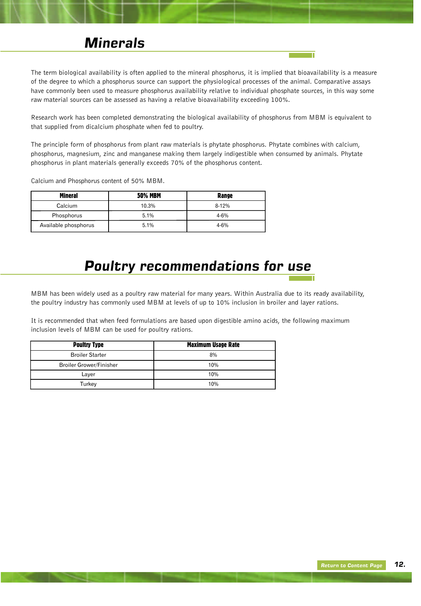#### *Minerals*

The term biological availability is often applied to the mineral phosphorus, it is implied that bioavailability is a measure of the degree to which a phosphorus source can support the physiological processes of the animal. Comparative assays have commonly been used to measure phosphorus availability relative to individual phosphate sources, in this way some raw material sources can be assessed as having a relative bioavailability exceeding 100%.

Research work has been completed demonstrating the biological availability of phosphorus from MBM is equivalent to that supplied from dicalcium phosphate when fed to poultry.

The principle form of phosphorus from plant raw materials is phytate phosphorus. Phytate combines with calcium, phosphorus, magnesium, zinc and manganese making them largely indigestible when consumed by animals. Phytate phosphorus in plant materials generally exceeds 70% of the phosphorus content.

Calcium and Phosphorus content of 50% MBM.

| Mineral              | <b>50% MBM</b> | Range    |
|----------------------|----------------|----------|
| Calcium              | 10.3%          | $8-12%$  |
| Phosphorus           | 5.1%           | $4 - 6%$ |
| Available phosphorus | 5.1%           | $4 - 6%$ |

### *Poultry recommendations for use*

MBM has been widely used as a poultry raw material for many years. Within Australia due to its ready availability, the poultry industry has commonly used MBM at levels of up to 10% inclusion in broiler and layer rations.

It is recommended that when feed formulations are based upon digestible amino acids, the following maximum inclusion levels of MBM can be used for poultry rations.

| <b>Poultry Type</b>            | <b>Maximum Usage Rate</b> |
|--------------------------------|---------------------------|
| <b>Broiler Starter</b>         | 8%                        |
| <b>Broiler Grower/Finisher</b> | 10%                       |
| Layer                          | 10%                       |
| Turkey                         | 10%                       |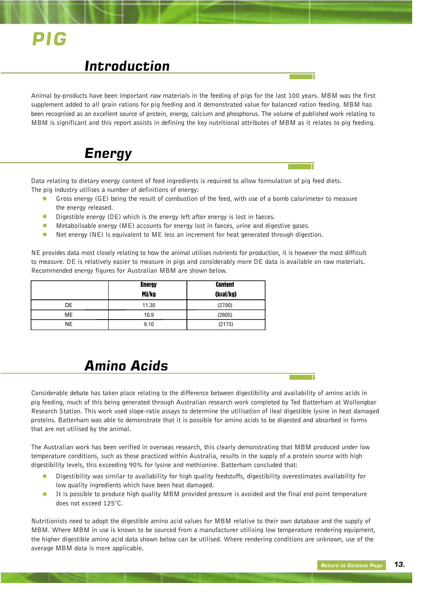# <span id="page-15-0"></span>*PIG*

#### *Introduction*

Animal by-products have been important raw materials in the feeding of pigs for the last 100 years. MBM was the first supplement added to all grain rations for pig feeding and it demonstrated value for balanced ration feeding. MBM has been recognised as an excellent source of protein, energy, calcium and phosphorus. The volume of published work relating to MBM is significant and this report assists in defining the key nutritional attributes of MBM as it relates to pig feeding.

### *Energy*

Data relating to dietary energy content of feed ingredients is required to allow formulation of pig feed diets. The pig industry utilises a number of definitions of energy:

- Gross energy (GE) being the result of combustion of the feed, with use of a bomb calorimeter to measure the energy released.
- Digestible energy (DE) which is the energy left after energy is lost in faeces.  $\bullet$
- Metabolisable energy (ME) accounts for energy lost in faeces, urine and digestive gases.
- $\bullet$ Net energy (NE) is equivalent to ME less an increment for heat generated through digestion.

NE provides data most closely relating to how the animal utilises nutrients for production, it is however the most difficult to measure. DE is relatively easier to measure in pigs and considerably more DE data is available on raw materials. Recommended energy figures for Australian MBM are shown below.

|           | <b>Energy</b> | <b>Content</b> |
|-----------|---------------|----------------|
|           | MJ/kg         | (kcal/kg)      |
| DE        | 11.30         | (2700)         |
| ME        | 10.9          | (2605)         |
| <b>NE</b> | 9.10          | (2175)         |

### *Amino Acids*

Considerable debate has taken place relating to the difference between digestibility and availability of amino acids in pig feeding, much of this being generated through Australian research work completed by Ted Batterham at Wollongbar Research Station. This work used slope-ratio assays to determine the utilisation of ileal digestible lysine in heat damaged proteins. Batterham was able to demonstrate that it is possible for amino acids to be digested and absorbed in forms that are not utilised by the animal.

The Australian work has been verified in overseas research, this clearly demonstrating that MBM produced under low temperature conditions, such as those practiced within Australia, results in the supply of a protein source with high digestibility levels, this exceeding 90% for lysine and methionine. Batterham concluded that:

- Digestibility was similar to availability for high quality feedstuffs, digestibility overestimates availability for low quality ingredients which have been heat damaged.
- It is possible to produce high quality MBM provided pressure is avoided and the final end point temperature does not exceed 125°C.

Nutritionists need to adopt the digestible amino acid values for MBM relative to their own database and the supply of MBM. Where MBM in use is known to be sourced from a manufacturer utilising low temperature rendering equipment, the higher digestible amino acid data shown below can be utilised. Where rendering conditions are unknown, use of the average MBM data is more applicable.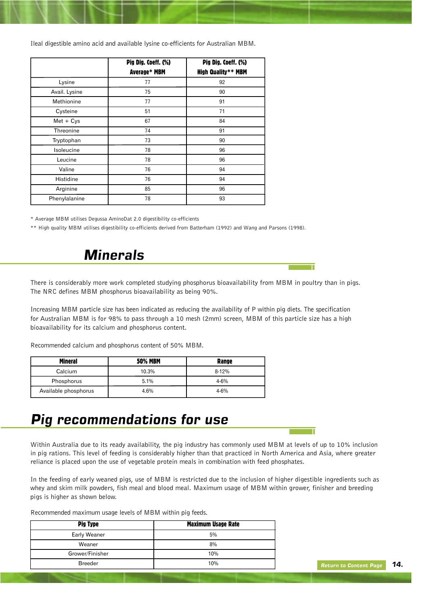Ileal digestible amino acid and available lysine co-efficients for Australian MBM.

|               | Pig Dig. Coeff. (%)<br>Average* MBM | Pig Dig. Coeff. (%)<br>High Quality** MBM |
|---------------|-------------------------------------|-------------------------------------------|
| Lysine        | 77                                  | 92                                        |
| Avail. Lysine | 75                                  | 90                                        |
| Methionine    | 77                                  | 91                                        |
| Cysteine      | 51                                  | 71                                        |
| $Met + Cys$   | 67                                  | 84                                        |
| Threonine     | 74                                  | 91                                        |
| Tryptophan    | 73                                  | 90                                        |
| Isoleucine    | 78                                  | 96                                        |
| Leucine       | 78                                  | 96                                        |
| Valine        | 76                                  | 94                                        |
| Histidine     | 76                                  | 94                                        |
| Arginine      | 85                                  | 96                                        |
| Phenylalanine | 78                                  | 93                                        |

\* Average MBM utilises Degussa AminoDat 2.0 digestibility co-efficients

\*\* High quality MBM utilises digestibility co-efficients derived from Batterham (1992) and Wang and Parsons (1998).

### *Minerals*

There is considerably more work completed studying phosphorus bioavailability from MBM in poultry than in pigs. The NRC defines MBM phosphorus bioavailability as being 90%.

Increasing MBM particle size has been indicated as reducing the availability of P within pig diets. The specification for Australian MBM is for 98% to pass through a 10 mesh (2mm) screen, MBM of this particle size has a high bioavailability for its calcium and phosphorus content.

Recommended calcium and phosphorus content of 50% MBM.

| Mineral              | <b>50% MBM</b> | Range     |
|----------------------|----------------|-----------|
| Calcium              | 10.3%          | $8 - 12%$ |
| Phosphorus           | 5.1%           | $4 - 6%$  |
| Available phosphorus | 4.6%           | $4 - 6%$  |

### *Pig recommendations for use*

Within Australia due to its ready availability, the pig industry has commonly used MBM at levels of up to 10% inclusion in pig rations. This level of feeding is considerably higher than that practiced in North America and Asia, where greater reliance is placed upon the use of vegetable protein meals in combination with feed phosphates.

In the feeding of early weaned pigs, use of MBM is restricted due to the inclusion of higher digestible ingredients such as whey and skim milk powders, fish meal and blood meal. Maximum usage of MBM within grower, finisher and breeding pigs is higher as shown below.

Recommended maximum usage levels of MBM within pig feeds.

| <b>Pig Type</b> | <b>Maximum Usage Rate</b> |
|-----------------|---------------------------|
| Early Weaner    | 5%                        |
| Weaner          | 8%                        |
| Grower/Finisher | 10%                       |
| <b>Breeder</b>  | 10%                       |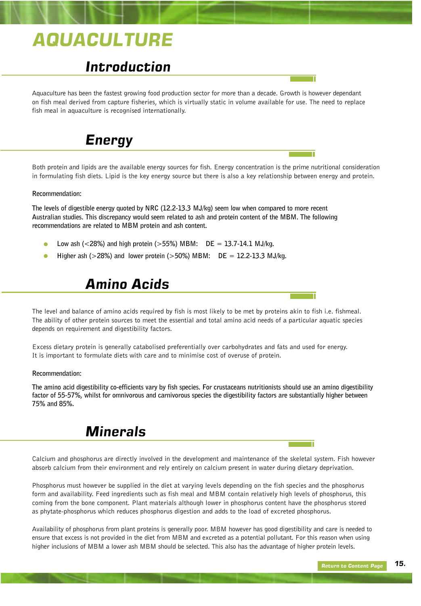# <span id="page-17-0"></span>*AQUACULTURE*

### *Introduction*

Aquaculture has been the fastest growing food production sector for more than a decade. Growth is however dependant on fish meal derived from capture fisheries, which is virtually static in volume available for use. The need to replace fish meal in aquaculture is recognised internationally.



Both protein and lipids are the available energy sources for fish. Energy concentration is the prime nutritional consideration in formulating fish diets. Lipid is the key energy source but there is also a key relationship between energy and protein.

#### **Recommendation:**

**The levels of digestible energy quoted by NRC (12.2-13.3 MJ/kg) seem low when compared to more recent Australian studies. This discrepancy would seem related to ash and protein content of the MBM. The following recommendations are related to MBM protein and ash content.**

- **Low ash (<28%) and high protein (>55%) MBM: DE = 13.7-14.1 MJ/kg.**
- **Higher ash (>28%) and lower protein (>50%) MBM: DE = 12.2-13.3 MJ/kg.**

#### *Amino Acids*

The level and balance of amino acids required by fish is most likely to be met by proteins akin to fish i.e. fishmeal. The ability of other protein sources to meet the essential and total amino acid needs of a particular aquatic species depends on requirement and digestibility factors.

Excess dietary protein is generally catabolised preferentially over carbohydrates and fats and used for energy. It is important to formulate diets with care and to minimise cost of overuse of protein.

#### **Recommendation:**

**The amino acid digestibility co-efficients vary by fish species. For crustaceans nutritionists should use an amino digestibility factor of 55-57%, whilst for omnivorous and carnivorous species the digestibility factors are substantially higher between 75% and 85%.** 

#### *Minerals*

Calcium and phosphorus are directly involved in the development and maintenance of the skeletal system. Fish however absorb calcium from their environment and rely entirely on calcium present in water during dietary deprivation.

Phosphorus must however be supplied in the diet at varying levels depending on the fish species and the phosphorus form and availability. Feed ingredients such as fish meal and MBM contain relatively high levels of phosphorus, this coming from the bone component. Plant materials although lower in phosphorus content have the phosphorus stored as phytate-phosphorus which reduces phosphorus digestion and adds to the load of excreted phosphorus.

Availability of phosphorus from plant proteins is generally poor. MBM however has good digestibility and care is needed to ensure that excess is not provided in the diet from MBM and excreted as a potential pollutant. For this reason when using higher inclusions of MBM a lower ash MBM should be selected. This also has the advantage of higher protein levels.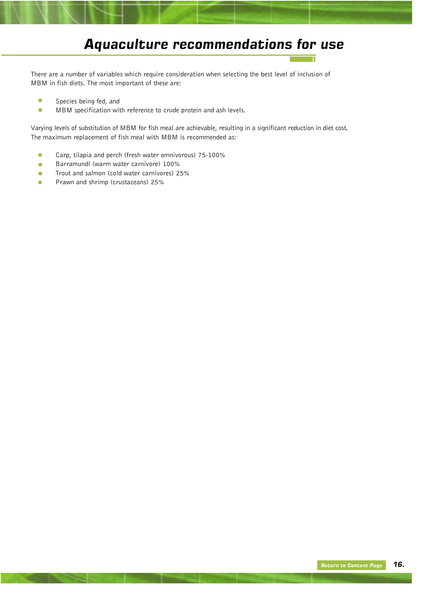## *Aquaculture recommendations for use*

There are a number of variables which require consideration when selecting the best level of inclusion of MBM in fish diets. The most important of these are:

- $\bullet$ Species being fed, and
- $\bullet$ MBM specification with reference to crude protein and ash levels.

Varying levels of substitution of MBM for fish meal are achievable, resulting in a significant reduction in diet cost. The maximum replacement of fish meal with MBM is recommended as:

- Carp, tilapia and perch (fresh water omnivorous) 75-100%  $\bullet$
- Barramundi (warm water carnivore) 100%  $\bullet$
- Trout and salmon (cold water carnivores) 25%  $\bullet$
- Prawn and shrimp (crustaceans) 25% $\bullet$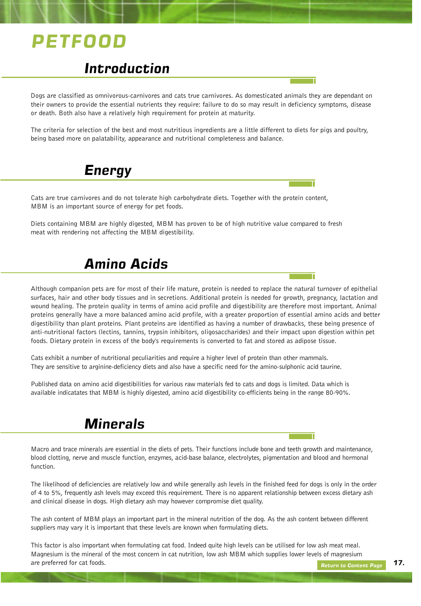# <span id="page-19-0"></span>*PETFOOD*

### *Introduction*

Dogs are classified as omnivorous-carnivores and cats true carnivores. As domesticated animals they are dependant on their owners to provide the essential nutrients they require: failure to do so may result in deficiency symptoms, disease or death. Both also have a relatively high requirement for protein at maturity.

The criteria for selection of the best and most nutritious ingredients are a little different to diets for pigs and poultry, being based more on palatability, appearance and nutritional completeness and balance.

### *Energy*

Cats are true carnivores and do not tolerate high carbohydrate diets. Together with the protein content, MBM is an important source of energy for pet foods.

Diets containing MBM are highly digested, MBM has proven to be of high nutritive value compared to fresh meat with rendering not affecting the MBM digestibility.

### *Amino Acids*

Although companion pets are for most of their life mature, protein is needed to replace the natural turnover of epithelial surfaces, hair and other body tissues and in secretions. Additional protein is needed for growth, pregnancy, lactation and wound healing. The protein quality in terms of amino acid profile and digestibility are therefore most important. Animal proteins generally have a more balanced amino acid profile, with a greater proportion of essential amino acids and better digestibility than plant proteins. Plant proteins are identified as having a number of drawbacks, these being presence of anti-nutritional factors (lectins, tannins, trypsin inhibitors, oligosaccharides) and their impact upon digestion within pet foods. Dietary protein in excess of the body's requirements is converted to fat and stored as adipose tissue.

Cats exhibit a number of nutritional peculiarities and require a higher level of protein than other mammals. They are sensitive to arginine-deficiency diets and also have a specific need for the amino-sulphonic acid taurine.

Published data on amino acid digestibilities for various raw materials fed to cats and dogs is limited. Data which is available indicatates that MBM is highly digested, amino acid digestibility co-efficients being in the range 80-90%.

### *Minerals*

Macro and trace minerals are essential in the diets of pets. Their functions include bone and teeth growth and maintenance, blood clotting, nerve and muscle function, enzymes, acid-base balance, electrolytes, pigmentation and blood and hormonal function.

The likelihood of deficiencies are relatively low and while generally ash levels in the finished feed for dogs is only in the order of 4 to 5%, frequently ash levels may exceed this requirement. There is no apparent relationship between excess dietary ash and clinical disease in dogs. High dietary ash may however compromise diet quality.

The ash content of MBM plays an important part in the mineral nutrition of the dog. As the ash content between different suppliers may vary it is important that these levels are known when formulating diets.

This factor is also important when formulating cat food. Indeed quite high levels can be utilised for low ash meat meal. Magnesium is the mineral of the most concern in cat nutrition, low ash MBM which supplies lower levels of magnesium are preferred for cat foods.